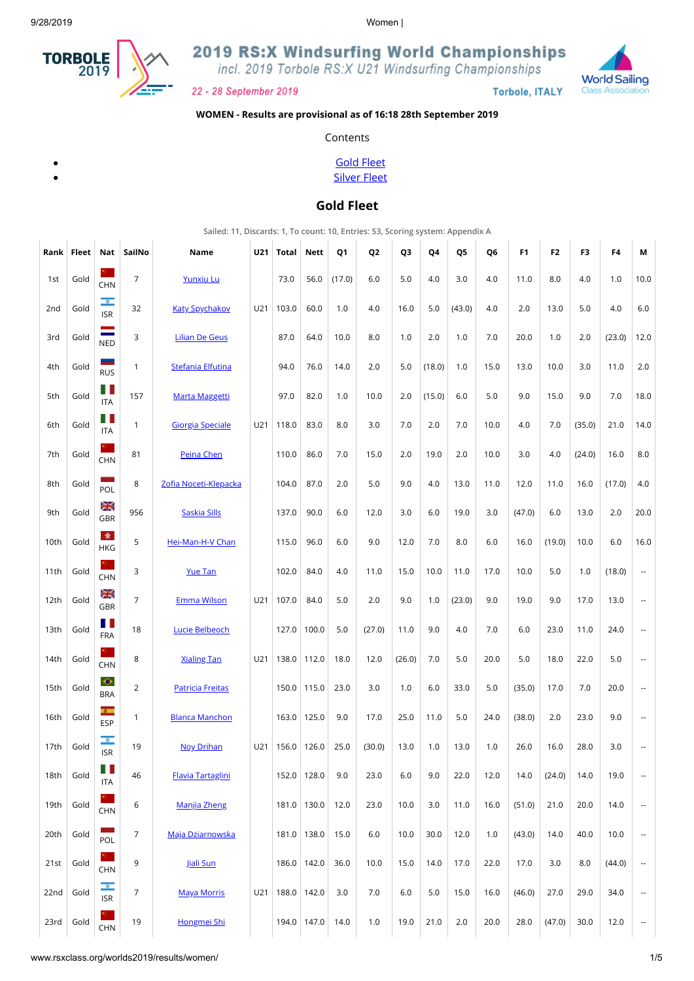

2019 RS:X Windsurfing World Championships

incl. 2019 Torbole RS:X U21 Windsurfing Championships



**Torbole, ITALY** 



#### **WOMEN - Results are provisional as of 16:18 28th September 2019**

Contents

[Gold Fleet](#page-0-0) [Silver Fleet](#page-2-0)

### **Gold Fleet**

**Sailed: 11, Discards: 1, To count: 10, Entries: 53, Scoring system: Appendix A**

<span id="page-0-0"></span>

| Rank            | Fleet | Nat                                    | SailNo         | Name                     | U21 | Total | <b>Nett</b>   | Q1     | Q <sub>2</sub> | Q <sub>3</sub> | Q4     | Q5     | Q6   | F <sub>1</sub> | F <sub>2</sub> | F3     | F4     | М                        |
|-----------------|-------|----------------------------------------|----------------|--------------------------|-----|-------|---------------|--------|----------------|----------------|--------|--------|------|----------------|----------------|--------|--------|--------------------------|
| 1st             | Gold  | <b>CHN</b>                             | $\overline{7}$ | <b>Yunxiu Lu</b>         |     | 73.0  | 56.0          | (17.0) | 6.0            | 5.0            | 4.0    | 3.0    | 4.0  | 11.0           | 8.0            | 4.0    | 1.0    | 10.0                     |
| 2 <sub>nd</sub> | Gold  | $\circ$<br><b>ISR</b>                  | 32             | <b>Katy Spychakov</b>    | U21 | 103.0 | 60.0          | 1.0    | 4.0            | 16.0           | 5.0    | (43.0) | 4.0  | 2.0            | 13.0           | 5.0    | 4.0    | 6.0                      |
| 3rd             | Gold  | $\mathcal{L}$<br>NED                   | 3              | <b>Lilian De Geus</b>    |     | 87.0  | 64.0          | 10.0   | 8.0            | 1.0            | 2.0    | 1.0    | 7.0  | 20.0           | 1.0            | 2.0    | (23.0) | 12.0                     |
| 4th             | Gold  | -<br><b>RUS</b>                        | $\mathbf{1}$   | Stefania Elfutina        |     | 94.0  | 76.0          | 14.0   | 2.0            | 5.0            | (18.0) | 1.0    | 15.0 | 13.0           | 10.0           | 3.0    | 11.0   | 2.0                      |
| 5th             | Gold  | Ш<br><b>ITA</b>                        | 157            | <b>Marta Maggetti</b>    |     | 97.0  | 82.0          | 1.0    | 10.0           | 2.0            | (15.0) | 6.0    | 5.0  | 9.0            | 15.0           | 9.0    | 7.0    | 18.0                     |
| 6th             | Gold  | H.<br><b>ITA</b>                       | $\mathbf{1}$   | <b>Giorgia Speciale</b>  | U21 | 118.0 | 83.0          | 8.0    | 3.0            | 7.0            | 2.0    | 7.0    | 10.0 | 4.0            | 7.0            | (35.0) | 21.0   | 14.0                     |
| 7th             | Gold  | σ.,<br><b>CHN</b>                      | 81             | Peina Chen               |     | 110.0 | 86.0          | 7.0    | 15.0           | 2.0            | 19.0   | 2.0    | 10.0 | 3.0            | 4.0            | (24.0) | 16.0   | 8.0                      |
| 8th             | Gold  | m.<br>POL                              | 8              | Zofia Noceti-Klepacka    |     | 104.0 | 87.0          | 2.0    | 5.0            | 9.0            | 4.0    | 13.0   | 11.0 | 12.0           | 11.0           | 16.0   | (17.0) | 4.0                      |
| 9th             | Gold  | Ж<br><b>GBR</b>                        | 956            | <b>Saskia Sills</b>      |     | 137.0 | 90.0          | 6.0    | 12.0           | 3.0            | 6.0    | 19.0   | 3.0  | (47.0)         | 6.0            | 13.0   | 2.0    | 20.0                     |
| 10th            | Gold  | 青<br><b>HKG</b>                        | 5              | Hei-Man-H-V Chan         |     | 115.0 | 96.0          | 6.0    | 9.0            | 12.0           | 7.0    | 8.0    | 6.0  | 16.0           | (19.0)         | 10.0   | 6.0    | 16.0                     |
| 11th            | Gold  | σ,<br><b>CHN</b>                       | 3              | <b>Yue Tan</b>           |     | 102.0 | 84.0          | 4.0    | 11.0           | 15.0           | 10.0   | 11.0   | 17.0 | 10.0           | 5.0            | 1.0    | (18.0) | $\overline{\phantom{a}}$ |
| 12th            | Gold  | Ж<br><b>GBR</b>                        | $\overline{7}$ | <b>Emma Wilson</b>       | U21 | 107.0 | 84.0          | 5.0    | 2.0            | 9.0            | 1.0    | (23.0) | 9.0  | 19.0           | 9.0            | 17.0   | 13.0   | --                       |
| 13th            | Gold  | Ш<br><b>FRA</b>                        | 18             | <b>Lucie Belbeoch</b>    |     |       | 127.0 100.0   | 5.0    | (27.0)         | 11.0           | 9.0    | 4.0    | 7.0  | 6.0            | 23.0           | 11.0   | 24.0   | $\overline{\phantom{a}}$ |
| 14th            | Gold  | 91.<br><b>CHN</b>                      | 8              | <b>Xialing Tan</b>       | U21 | 138.0 | 112.0         | 18.0   | 12.0           | (26.0)         | 7.0    | 5.0    | 20.0 | 5.0            | 18.0           | 22.0   | 5.0    | $\overline{\phantom{a}}$ |
| 15th            | Gold  | $\bullet$<br><b>BRA</b>                | $\overline{2}$ | <b>Patricia Freitas</b>  |     |       | 150.0 115.0   | 23.0   | 3.0            | 1.0            | 6.0    | 33.0   | 5.0  | (35.0)         | 17.0           | 7.0    | 20.0   | $\overline{a}$           |
| 16th            | Gold  | $\overline{\phantom{a}}$<br><b>ESP</b> | $\mathbf{1}$   | <b>Blanca Manchon</b>    |     |       | 163.0 125.0   | 9.0    | 17.0           | 25.0           | 11.0   | 5.0    | 24.0 | (38.0)         | 2.0            | 23.0   | 9.0    | --                       |
| 17th            | Gold  | $\circ$<br><b>ISR</b>                  | 19             | <b>Noy Drihan</b>        | U21 | 156.0 | 126.0         | 25.0   | (30.0)         | 13.0           | 1.0    | 13.0   | 1.0  | 26.0           | 16.0           | 28.0   | 3.0    | $\cdots$                 |
| 18th            | Gold  | H<br><b>ITA</b>                        | 46             | <b>Flavia Tartaglini</b> |     |       | 152.0 128.0   | 9.0    | 23.0           | 6.0            | 9.0    | 22.0   | 12.0 | 14.0           | (24.0)         | 14.0   | 19.0   | --                       |
| 19th            | Gold  | ο,<br><b>CHN</b>                       | 6              | Manjia Zheng             |     |       | 181.0 130.0   | 12.0   | 23.0           | 10.0           | 3.0    | 11.0   | 16.0 | (51.0)         | 21.0           | 20.0   | 14.0   | --                       |
| 20th            | Gold  | $\sim 10$<br>POL                       | $\overline{7}$ | Maja Dziarnowska         |     |       | 181.0 138.0   | 15.0   | 6.0            | 10.0           | 30.0   | 12.0   | 1.0  | (43.0)         | 14.0           | 40.0   | 10.0   | $\qquad \qquad \cdots$   |
| 21st            | Gold  | $\mathbf{0}$<br><b>CHN</b>             | 9              | Jiali Sun                |     |       | 186.0   142.0 | 36.0   | 10.0           | 15.0           | 14.0   | 17.0   | 22.0 | 17.0           | 3.0            | 8.0    | (44.0) | $\overline{\phantom{a}}$ |
| 22nd            | Gold  | $\circ$<br><b>ISR</b>                  | 7              | <b>Maya Morris</b>       | U21 |       | 188.0 142.0   | 3.0    | 7.0            | 6.0            | 5.0    | 15.0   | 16.0 | (46.0)         | 27.0           | 29.0   | 34.0   | $\overline{\phantom{a}}$ |
| 23rd            | Gold  | CHN                                    | 19             | Hongmei Shi              |     |       | 194.0 147.0   | 14.0   | 1.0            | 19.0           | 21.0   | 2.0    | 20.0 | 28.0           | (47.0)         | 30.0   | 12.0   | н.                       |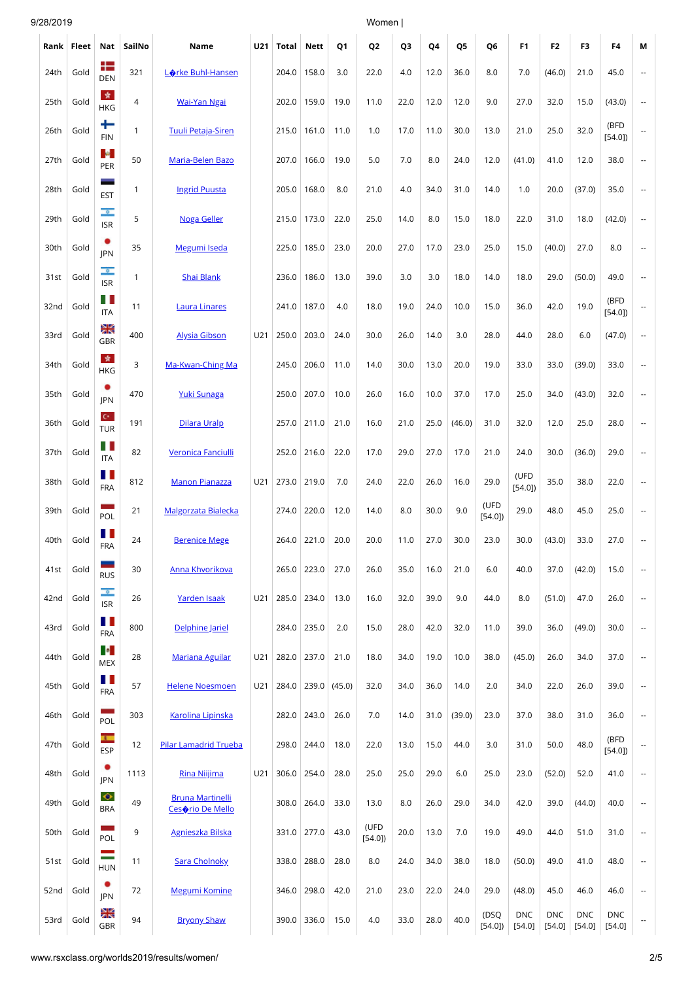| 9/28/2019 |       |                                      |              |                                             |            |             |                  |        | Women          |      |      |                |                |                      |                        |                      |                      |                          |
|-----------|-------|--------------------------------------|--------------|---------------------------------------------|------------|-------------|------------------|--------|----------------|------|------|----------------|----------------|----------------------|------------------------|----------------------|----------------------|--------------------------|
| Rank      | Fleet | Nat                                  | SailNo       | Name                                        | <b>U21</b> | Total       | Nett             | Q1     | Q <sub>2</sub> | Q3   | Q4   | Q <sub>5</sub> | Q6             | F <sub>1</sub>       | F <sub>2</sub>         | F3                   | F4                   | М                        |
| 24th      | Gold  | ┽═<br><b>DEN</b>                     | 321          | Lorke Buhl-Hansen                           |            | 204.0       | 158.0            | 3.0    | 22.0           | 4.0  | 12.0 | 36.0           | 8.0            | 7.0                  | (46.0)                 | 21.0                 | 45.0                 | $\qquad \qquad \cdots$   |
| 25th      | Gold  | 女<br><b>HKG</b>                      | 4            | <b>Wai-Yan Ngai</b>                         |            | 202.0       | 159.0            | 19.0   | 11.0           | 22.0 | 12.0 | 12.0           | 9.0            | 27.0                 | 32.0                   | 15.0                 | (43.0)               | $\sim$                   |
| 26th      | Gold  | ┶<br><b>FIN</b>                      | $\mathbf{1}$ | <b>Tuuli Petaja-Siren</b>                   |            | 215.0       | 161.0            | 11.0   | 1.0            | 17.0 | 11.0 | 30.0           | 13.0           | 21.0                 | 25.0                   | 32.0                 | (BFD<br>[54.0]       |                          |
| 27th      | Gold  | <b>B</b><br>PER                      | 50           | Maria-Belen Bazo                            |            | 207.0       | 166.0            | 19.0   | 5.0            | 7.0  | 8.0  | 24.0           | 12.0           | (41.0)               | 41.0                   | 12.0                 | 38.0                 |                          |
| 28th      | Gold  | <b>EST</b>                           | 1            | <b>Ingrid Puusta</b>                        |            | 205.0       | 168.0            | 8.0    | 21.0           | 4.0  | 34.0 | 31.0           | 14.0           | 1.0                  | 20.0                   | (37.0)               | 35.0                 |                          |
| 29th      | Gold  | $\bullet$<br><b>ISR</b>              | 5            | <b>Noga Geller</b>                          |            | 215.0       | 173.0            | 22.0   | 25.0           | 14.0 | 8.0  | 15.0           | 18.0           | 22.0                 | 31.0                   | 18.0                 | (42.0)               |                          |
| 30th      | Gold  | <b>IPN</b>                           | 35           | Megumi Iseda                                |            | 225.0       | 185.0            | 23.0   | 20.0           | 27.0 | 17.0 | 23.0           | 25.0           | 15.0                 | (40.0)                 | 27.0                 | 8.0                  | $\overline{\phantom{a}}$ |
| 31st      | Gold  | $\circ$<br><b>ISR</b>                | $\mathbf{1}$ | Shai Blank                                  |            | 236.0       | 186.0            | 13.0   | 39.0           | 3.0  | 3.0  | 18.0           | 14.0           | 18.0                 | 29.0                   | (50.0)               | 49.0                 | $\overline{\phantom{a}}$ |
| 32nd      | Gold  | Ш<br><b>ITA</b>                      | 11           | <b>Laura Linares</b>                        |            | 241.0       | 187.0            | 4.0    | 18.0           | 19.0 | 24.0 | 10.0           | 15.0           | 36.0                 | 42.0                   | 19.0                 | (BFD<br>[54.0]       |                          |
| 33rd      | Gold  | Ж<br>GBR                             | 400          | <b>Alysia Gibson</b>                        | U21        | 250.0       | 203.0            | 24.0   | 30.0           | 26.0 | 14.0 | 3.0            | 28.0           | 44.0                 | 28.0                   | 6.0                  | (47.0)               | $\overline{\phantom{a}}$ |
| 34th      | Gold  | 青<br><b>HKG</b>                      | 3            | Ma-Kwan-Ching Ma                            |            | 245.0       | 206.0            | 11.0   | 14.0           | 30.0 | 13.0 | 20.0           | 19.0           | 33.0                 | 33.0                   | (39.0)               | 33.0                 |                          |
| 35th      | Gold  | ٠<br>JPN                             | 470          | Yuki Sunaga                                 |            | 250.0       | 207.0            | 10.0   | 26.0           | 16.0 | 10.0 | 37.0           | 17.0           | 25.0                 | 34.0                   | (43.0)               | 32.0                 | $\overline{a}$           |
| 36th      | Gold  | $\mathbf{C}^{\star}$ .<br><b>TUR</b> | 191          | Dilara Uralp                                |            | 257.0       | 211.0            | 21.0   | 16.0           | 21.0 | 25.0 | (46.0)         | 31.0           | 32.0                 | 12.0                   | 25.0                 | 28.0                 | $\overline{a}$           |
| 37th      | Gold  | H.<br><b>ITA</b>                     | 82           | Veronica Fanciulli                          |            |             | 252.0 216.0      | 22.0   | 17.0           | 29.0 | 27.0 | 17.0           | 21.0           | 24.0                 | 30.0                   | (36.0)               | 29.0                 |                          |
| 38th      | Gold  | Ш<br><b>FRA</b>                      | 812          | <b>Manon Pianazza</b>                       | U21        | 273.0 219.0 |                  | 7.0    | 24.0           | 22.0 | 26.0 | 16.0           | 29.0           | (UFD<br>[54.0]       | 35.0                   | 38.0                 | 22.0                 |                          |
| 39th      | Gold  | POL                                  | 21           | <b>Malgorzata Bialecka</b>                  |            | 274.0       | 220.0            | 12.0   | 14.0           | 8.0  | 30.0 | 9.0            | (UFD<br>[54.0] | 29.0                 | 48.0                   | 45.0                 | 25.0                 | $\overline{\phantom{a}}$ |
| 40th      | Gold  | . .<br><b>FRA</b>                    | 24           | <b>Berenice Mege</b>                        |            |             | 264.0 221.0 20.0 |        | 20.0           | 11.0 | 27.0 | 30.0           | 23.0           | 30.0                 | (43.0)                 | 33.0                 | 27.0                 |                          |
| 41st      | Gold  | -<br><b>RUS</b>                      | 30           | Anna Khvorikova                             |            | 265.0       | 223.0            | 27.0   | 26.0           | 35.0 | 16.0 | 21.0           | 6.0            | 40.0                 | 37.0                   | (42.0)               | 15.0                 |                          |
| 42nd      | Gold  | $\bullet$<br><b>ISR</b>              | 26           | Yarden Isaak                                | U21        | 285.0       | 234.0            | 13.0   | 16.0           | 32.0 | 39.0 | 9.0            | 44.0           | 8.0                  | (51.0)                 | 47.0                 | 26.0                 | $\overline{\phantom{a}}$ |
| 43rd      | Gold  | Ш<br><b>FRA</b>                      | 800          | Delphine Jariel                             |            |             | 284.0 235.0      | 2.0    | 15.0           | 28.0 | 42.0 | 32.0           | 11.0           | 39.0                 | 36.0                   | (49.0)               | 30.0                 | $\overline{\phantom{a}}$ |
| 44th      | Gold  | <b>P</b><br><b>MEX</b>               | 28           | <b>Mariana Aguilar</b>                      | U21        | 282.0       | 237.0            | 21.0   | 18.0           | 34.0 | 19.0 | 10.0           | 38.0           | (45.0)               | 26.0                   | 34.0                 | 37.0                 | $\overline{\phantom{a}}$ |
| 45th      | Gold  | H<br><b>FRA</b>                      | 57           | <b>Helene Noesmoen</b>                      | U21        | 284.0       | 239.0            | (45.0) | 32.0           | 34.0 | 36.0 | 14.0           | 2.0            | 34.0                 | 22.0                   | 26.0                 | 39.0                 | $\overline{\phantom{a}}$ |
| 46th      | Gold  | POL                                  | 303          | <b>Karolina Lipinska</b>                    |            | 282.0       | 243.0            | 26.0   | 7.0            | 14.0 | 31.0 | (39.0)         | 23.0           | 37.0                 | 38.0                   | 31.0                 | 36.0                 | $\qquad \qquad \cdots$   |
| 47th      | Gold  | $\overline{a}$<br><b>ESP</b>         | 12           | <b>Pilar Lamadrid Trueba</b>                |            | 298.0       | 244.0            | 18.0   | 22.0           | 13.0 | 15.0 | 44.0           | 3.0            | 31.0                 | 50.0                   | 48.0                 | (BFD<br>[54.0]       | $\overline{\phantom{a}}$ |
| 48th      | Gold  | ٠<br>JPN                             | 1113         | Rina Nijjima                                | U21        | 306.0       | 254.0            | 28.0   | 25.0           | 25.0 | 29.0 | 6.0            | 25.0           | 23.0                 | (52.0)                 | 52.0                 | 41.0                 | $\overline{\phantom{a}}$ |
| 49th      | Gold  | $\bullet$<br><b>BRA</b>              | 49           | <b>Bruna Martinelli</b><br>Cesorio De Mello |            | 308.0       | 264.0            | 33.0   | 13.0           | 8.0  | 26.0 | 29.0           | 34.0           | 42.0                 | 39.0                   | (44.0)               | 40.0                 | $\overline{\phantom{a}}$ |
| 50th      | Gold  | POL                                  | 9            | <b>Agnieszka Bilska</b>                     |            | 331.0       | 277.0            | 43.0   | (UFD<br>[54.0] | 20.0 | 13.0 | 7.0            | 19.0           | 49.0                 | 44.0                   | 51.0                 | 31.0                 | $\overline{\phantom{a}}$ |
| 51st      | Gold  | Ξ<br><b>HUN</b>                      | 11           | Sara Cholnoky                               |            | 338.0       | 288.0            | 28.0   | 8.0            | 24.0 | 34.0 | 38.0           | 18.0           | (50.0)               | 49.0                   | 41.0                 | 48.0                 | $\overline{\phantom{a}}$ |
| 52nd      | Gold  | ٠<br>JPN                             | 72           | Megumi Komine                               |            | 346.0       | 298.0            | 42.0   | 21.0           | 23.0 | 22.0 | 24.0           | 29.0           | (48.0)               | 45.0                   | 46.0                 | 46.0                 |                          |
| 53rd      | Gold  | XK<br>GBR                            | 94           | <b>Bryony Shaw</b>                          |            | 390.0       | 336.0            | 15.0   | 4.0            | 33.0 | 28.0 | 40.0           | (DSQ<br>[54.0] | <b>DNC</b><br>[54.0] | <b>DNC</b><br>$[54.0]$ | <b>DNC</b><br>[54.0] | <b>DNC</b><br>[54.0] | $\sim$                   |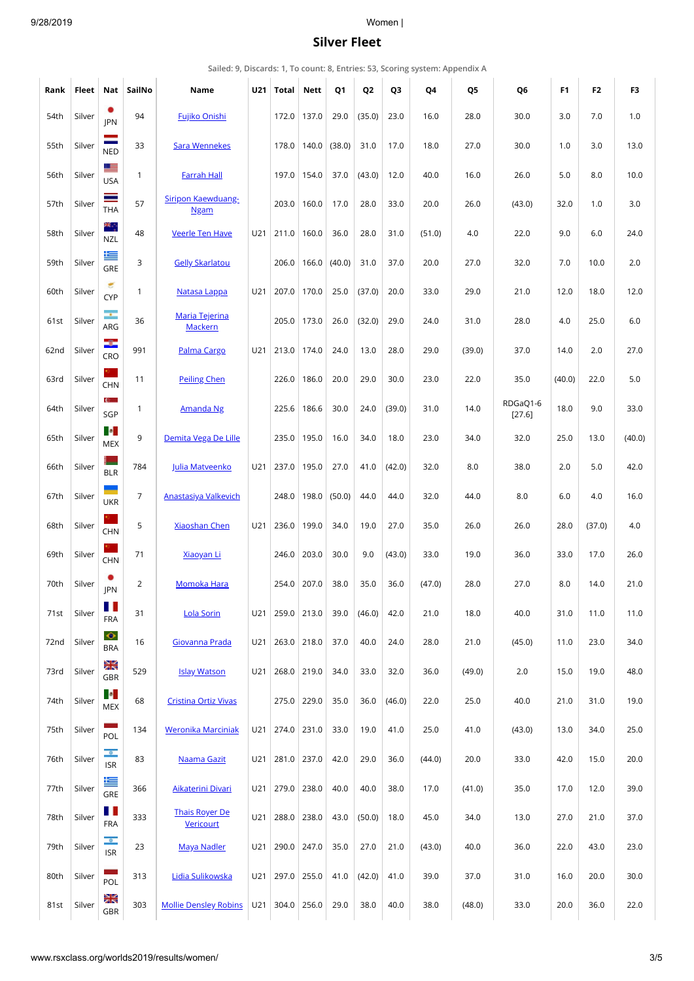### <span id="page-2-0"></span>9/28/2019 Women |

# **Silver Fleet**

|  |  | Sailed: 9, Discards: 1, To count: 8, Entries: 53, Scoring system: Appendix A |
|--|--|------------------------------------------------------------------------------|
|--|--|------------------------------------------------------------------------------|

| Rank | Fleet  | Nat                       | SailNo         | Name                               | U21 | Total             | <b>Nett</b> | Q1     | Q <sub>2</sub> | Q3     | Q4     | Q5     | Q6                 | F <sub>1</sub> | F <sub>2</sub> | F3     |
|------|--------|---------------------------|----------------|------------------------------------|-----|-------------------|-------------|--------|----------------|--------|--------|--------|--------------------|----------------|----------------|--------|
| 54th | Silver | ٠<br><b>IPN</b>           | 94             | Fujiko Onishi                      |     | 172.0             | 137.0       | 29.0   | (35.0)         | 23.0   | 16.0   | 28.0   | 30.0               | 3.0            | 7.0            | 1.0    |
| 55th | Silver | $\equiv$<br><b>NED</b>    | 33             | <b>Sara Wennekes</b>               |     | 178.0             | 140.0       | (38.0) | 31.0           | 17.0   | 18.0   | 27.0   | 30.0               | 1.0            | 3.0            | 13.0   |
| 56th | Silver | <u>e se</u><br><b>USA</b> | $\mathbf{1}$   | <b>Farrah Hall</b>                 |     |                   | 197.0 154.0 | 37.0   | (43.0)         | 12.0   | 40.0   | 16.0   | 26.0               | 5.0            | 8.0            | 10.0   |
| 57th | Silver | ≡<br>THA                  | 57             | Siripon Kaewduang-<br><b>Ngam</b>  |     | 203.0             | 160.0       | 17.0   | 28.0           | 33.0   | 20.0   | 26.0   | (43.0)             | 32.0           | 1.0            | 3.0    |
| 58th | Silver | ж.<br><b>NZL</b>          | 48             | <b>Veerle Ten Have</b>             | U21 | 211.0             | 160.0       | 36.0   | 28.0           | 31.0   | (51.0) | 4.0    | 22.0               | 9.0            | 6.0            | 24.0   |
| 59th | Silver | ⋐<br>GRE                  | 3              | <b>Gelly Skarlatou</b>             |     | 206.0             | 166.0       | (40.0) | 31.0           | 37.0   | 20.0   | 27.0   | 32.0               | 7.0            | 10.0           | 2.0    |
| 60th | Silver | g<br><b>CYP</b>           | $\mathbf{1}$   | Natasa Lappa                       | U21 | 207.0             | 170.0       | 25.0   | (37.0)         | 20.0   | 33.0   | 29.0   | 21.0               | 12.0           | 18.0           | 12.0   |
| 61st | Silver | ÷.<br>ARG                 | 36             | Maria Tejerina<br>Mackern          |     | 205.0             | 173.0       | 26.0   | (32.0)         | 29.0   | 24.0   | 31.0   | 28.0               | 4.0            | 25.0           | 6.0    |
| 62nd | Silver | ÷<br>CRO                  | 991            | Palma Cargo                        | U21 | 213.0             | 174.0       | 24.0   | 13.0           | 28.0   | 29.0   | (39.0) | 37.0               | 14.0           | 2.0            | 27.0   |
| 63rd | Silver | <b>CHN</b>                | 11             | <b>Peiling Chen</b>                |     | 226.0             | 186.0       | 20.0   | 29.0           | 30.0   | 23.0   | 22.0   | 35.0               | (40.0)         | 22.0           | 5.0    |
| 64th | Silver | C.<br>SGP                 | $\mathbf{1}$   | <b>Amanda Ng</b>                   |     | 225.6             | 186.6       | 30.0   | 24.0           | (39.0) | 31.0   | 14.0   | RDGaQ1-6<br>[27.6] | 18.0           | 9.0            | 33.0   |
| 65th | Silver | <b>P</b><br><b>MEX</b>    | 9              | Demita Vega De Lille               |     |                   | 235.0 195.0 | 16.0   | 34.0           | 18.0   | 23.0   | 34.0   | 32.0               | 25.0           | 13.0           | (40.0) |
| 66th | Silver | s.<br><b>BLR</b>          | 784            | Julia Matveenko                    | U21 | 237.0             | 195.0       | 27.0   | 41.0           | (42.0) | 32.0   | 8.0    | 38.0               | 2.0            | 5.0            | 42.0   |
| 67th | Silver | <b>UKR</b>                | $\overline{7}$ | <b>Anastasiya Valkevich</b>        |     | 248.0             | 198.0       | (50.0) | 44.0           | 44.0   | 32.0   | 44.0   | 8.0                | 6.0            | 4.0            | 16.0   |
| 68th | Silver | <b>CHN</b>                | 5              | <b>Xiaoshan Chen</b>               | U21 | 236.0             | 199.0       | 34.0   | 19.0           | 27.0   | 35.0   | 26.0   | 26.0               | 28.0           | (37.0)         | 4.0    |
| 69th | Silver | <b>CHN</b>                | 71             | <b>Xiaoyan Li</b>                  |     | 246.0             | 203.0       | 30.0   | 9.0            | (43.0) | 33.0   | 19.0   | 36.0               | 33.0           | 17.0           | 26.0   |
| 70th | Silver | JPN                       | $\overline{2}$ | <b>Momoka Hara</b>                 |     | 254.0             | 207.0       | 38.0   | 35.0           | 36.0   | (47.0) | 28.0   | 27.0               | 8.0            | 14.0           | 21.0   |
| 71st | Silver | H<br><b>FRA</b>           | 31             | <b>Lola Sorin</b>                  | U21 |                   | 259.0 213.0 | 39.0   | (46.0)         | 42.0   | 21.0   | 18.0   | 40.0               | 31.0           | 11.0           | 11.0   |
| 72nd | Silver | $\bullet$<br><b>BRA</b>   | 16             | Giovanna Prada                     |     | $U21$ 263.0 218.0 |             | 37.0   | 40.0           | 24.0   | 28.0   | 21.0   | (45.0)             | 11.0           | 23.0           | 34.0   |
| 73rd | Silver | XX<br>GBR                 | 529            | <b>Islay Watson</b>                | U21 |                   | 268.0 219.0 | 34.0   | 33.0           | 32.0   | 36.0   | (49.0) | 2.0                | 15.0           | 19.0           | 48.0   |
| 74th | Silver | <b>P</b><br>MEX           | 68             | <b>Cristina Ortiz Vivas</b>        |     | 275.0             | 229.0       | 35.0   | 36.0           | (46.0) | 22.0   | 25.0   | 40.0               | 21.0           | 31.0           | 19.0   |
| 75th | Silver | a a<br>POL                | 134            | Weronika Marciniak                 | U21 | 274.0             | 231.0       | 33.0   | 19.0           | 41.0   | 25.0   | 41.0   | (43.0)             | 13.0           | 34.0           | 25.0   |
| 76th | Silver | $\bullet$<br><b>ISR</b>   | 83             | Naama Gazit                        | U21 | 281.0 237.0       |             | 42.0   | 29.0           | 36.0   | (44.0) | 20.0   | 33.0               | 42.0           | 15.0           | 20.0   |
| 77th | Silver | ≝<br>GRE                  | 366            | <b>Aikaterini Divari</b>           | U21 | 279.0             | 238.0       | 40.0   | 40.0           | 38.0   | 17.0   | (41.0) | 35.0               | 17.0           | 12.0           | 39.0   |
| 78th | Silver | H.<br><b>FRA</b>          | 333            | <b>Thais Royer De</b><br>Vericourt |     | $U21$ 288.0       | 238.0       | 43.0   | (50.0)         | 18.0   | 45.0   | 34.0   | 13.0               | 27.0           | 21.0           | 37.0   |
| 79th | Silver | $\bullet$<br><b>ISR</b>   | 23             | <b>Maya Nadler</b>                 | U21 | 290.0             | 247.0       | 35.0   | 27.0           | 21.0   | (43.0) | 40.0   | 36.0               | 22.0           | 43.0           | 23.0   |
| 80th | Silver | a s<br>POL                | 313            | Lidia Sulikowska                   | U21 | 297.0             | 255.0       | 41.0   | (42.0)         | 41.0   | 39.0   | 37.0   | 31.0               | 16.0           | 20.0           | 30.0   |
| 81st | Silver | Ж<br>GBR                  | 303            | <b>Mollie Densley Robins</b>       | U21 | 304.0             | 256.0       | 29.0   | 38.0           | 40.0   | 38.0   | (48.0) | 33.0               | 20.0           | 36.0           | 22.0   |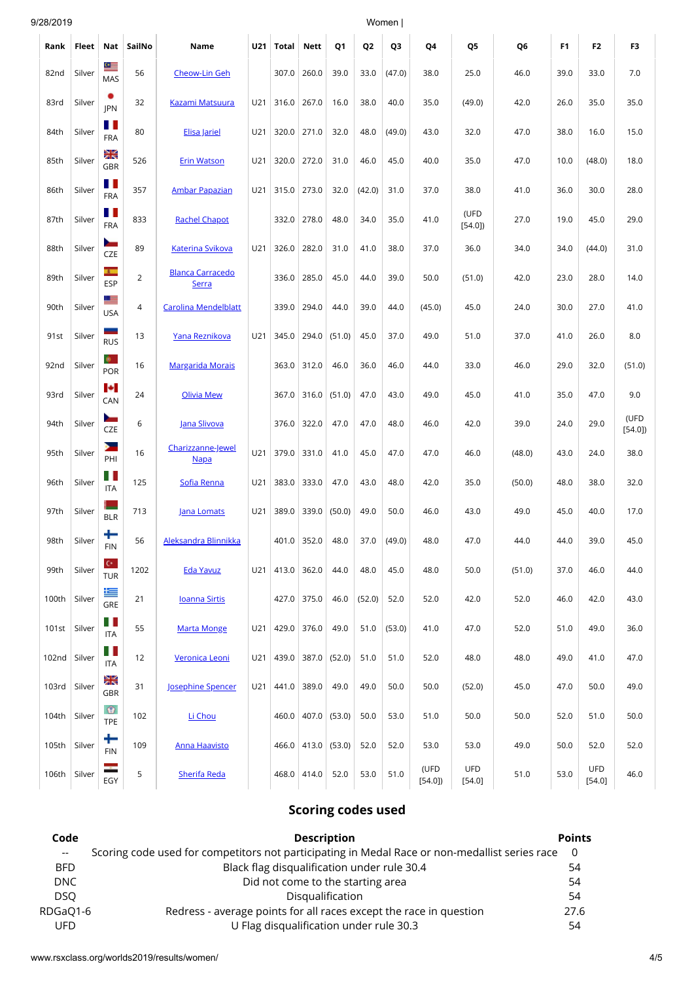| 9/28/2019 |        |                                    |                |                                         |     |       |                          |                | Women          |        |                |                      |                |                |                      |                |
|-----------|--------|------------------------------------|----------------|-----------------------------------------|-----|-------|--------------------------|----------------|----------------|--------|----------------|----------------------|----------------|----------------|----------------------|----------------|
| Rank      | Fleet  | Nat                                | SailNo         | Name                                    | U21 | Total | <b>Nett</b>              | Q1             | Q <sub>2</sub> | Q3     | Q4             | Q5                   | Q <sub>6</sub> | F <sub>1</sub> | F <sub>2</sub>       | F <sub>3</sub> |
| 82nd      | Silver | $\bullet$<br>MAS                   | 56             | <b>Cheow-Lin Geh</b>                    |     | 307.0 | 260.0                    | 39.0           | 33.0           | (47.0) | 38.0           | 25.0                 | 46.0           | 39.0           | 33.0                 | 7.0            |
| 83rd      | Silver | ٠<br><b>IPN</b>                    | 32             | Kazami Matsuura                         | U21 | 316.0 | 267.0                    | 16.0           | 38.0           | 40.0   | 35.0           | (49.0)               | 42.0           | 26.0           | 35.0                 | 35.0           |
| 84th      | Silver | Ш<br><b>FRA</b>                    | 80             | Elisa Jariel                            | U21 | 320.0 | 271.0                    | 32.0           | 48.0           | (49.0) | 43.0           | 32.0                 | 47.0           | 38.0           | 16.0                 | 15.0           |
| 85th      | Silver | Ж<br>GBR                           | 526            | <b>Erin Watson</b>                      | U21 | 320.0 | 272.0                    | 31.0           | 46.0           | 45.0   | 40.0           | 35.0                 | 47.0           | 10.0           | (48.0)               | 18.0           |
| 86th      | Silver | Ш<br><b>FRA</b>                    | 357            | <b>Ambar Papazian</b>                   | U21 | 315.0 | 273.0                    | 32.0           | (42.0)         | 31.0   | 37.0           | 38.0                 | 41.0           | 36.0           | 30.0                 | 28.0           |
| 87th      | Silver | H I<br><b>FRA</b>                  | 833            | <b>Rachel Chapot</b>                    |     | 332.0 | 278.0                    | 48.0           | 34.0           | 35.0   | 41.0           | (UFD<br>[54.0]       | 27.0           | 19.0           | 45.0                 | 29.0           |
| 88th      | Silver | $\overline{\phantom{a}}$<br>CZE    | 89             | <b>Katerina Svikova</b>                 | U21 | 326.0 | 282.0                    | 31.0           | 41.0           | 38.0   | 37.0           | 36.0                 | 34.0           | 34.0           | (44.0)               | 31.0           |
| 89th      | Silver | <b>A</b><br><b>ESP</b>             | $\overline{2}$ | <b>Blanca Carracedo</b><br><b>Serra</b> |     | 336.0 | 285.0                    | 45.0           | 44.0           | 39.0   | 50.0           | (51.0)               | 42.0           | 23.0           | 28.0                 | 14.0           |
| 90th      | Silver | 트<br><b>USA</b>                    | 4              | <b>Carolina Mendelblatt</b>             |     | 339.0 | 294.0                    | 44.0           | 39.0           | 44.0   | (45.0)         | 45.0                 | 24.0           | 30.0           | 27.0                 | 41.0           |
| 91st      | Silver | -<br><b>RUS</b>                    | 13             | Yana Reznikova                          | U21 | 345.0 | 294.0                    | (51.0)         | 45.0           | 37.0   | 49.0           | 51.0                 | 37.0           | 41.0           | 26.0                 | 8.0            |
| 92nd      | Silver | POR                                | 16             | <b>Margarida Morais</b>                 |     | 363.0 | 312.0                    | 46.0           | 36.0           | 46.0   | 44.0           | 33.0                 | 46.0           | 29.0           | 32.0                 | (51.0)         |
| 93rd      | Silver | <b>P</b><br>CAN                    | 24             | <b>Olivia Mew</b>                       |     | 367.0 | 316.0                    | (51.0)         | 47.0           | 43.0   | 49.0           | 45.0                 | 41.0           | 35.0           | 47.0                 | 9.0            |
| 94th      | Silver | $\overline{\phantom{a}}$<br>CZE    | 6              | Jana Slivova                            |     | 376.0 | 322.0                    | 47.0           | 47.0           | 48.0   | 46.0           | 42.0                 | 39.0           | 24.0           | 29.0                 | (UFD<br>[54.0] |
| 95th      | Silver | Y<br>PHI                           | 16             | Charizzanne-Jewel<br><b>Napa</b>        | U21 | 379.0 | 331.0                    | 41.0           | 45.0           | 47.0   | 47.0           | 46.0                 | (48.0)         | 43.0           | 24.0                 | 38.0           |
| 96th      | Silver | ПT<br>ITA                          | 125            | Sofia Renna                             | U21 | 383.0 | 333.0                    | 47.0           | 43.0           | 48.0   | 42.0           | 35.0                 | (50.0)         | 48.0           | 38.0                 | 32.0           |
| 97th      | Silver | р.<br><b>BLR</b>                   | 713            | Jana Lomats                             | U21 | 389.0 | 339.0                    | (50.0)         | 49.0           | 50.0   | 46.0           | 43.0                 | 49.0           | 45.0           | 40.0                 | 17.0           |
| 98th      | Silver | ٠<br><b>FIN</b>                    | 56             | Aleksandra Blinnikka                    |     |       | 401.0 352.0              | 48.0           | 37.0           | (49.0) | 48.0           | 47.0                 | 44.0           | 44.0           | 39.0                 | 45.0           |
| 99th      | Silver | $\mathbf{C}^{\star}$<br><b>TUR</b> | 1202           | <b>Eda Yavuz</b>                        | U21 |       | 413.0 362.0              | 44.0           | 48.0           | 45.0   | 48.0           | 50.0                 | (51.0)         | 37.0           | 46.0                 | 44.0           |
| 100th     | Silver | 隼<br>GRE                           | 21             | <b>Ioanna Sirtis</b>                    |     |       | 427.0 375.0              | 46.0           | (52.0)         | 52.0   | 52.0           | 42.0                 | 52.0           | 46.0           | 42.0                 | 43.0           |
| 101st     | Silver | H.<br><b>ITA</b>                   | 55             | <b>Marta Monge</b>                      | U21 | 429.0 | 376.0                    | 49.0           | 51.0           | (53.0) | 41.0           | 47.0                 | 52.0           | 51.0           | 49.0                 | 36.0           |
| 102nd     | Silver | H.<br>ITA                          | 12             | Veronica Leoni                          | U21 | 439.0 |                          | $387.0$ (52.0) | 51.0           | 51.0   | 52.0           | 48.0                 | 48.0           | 49.0           | 41.0                 | 47.0           |
| 103rd     | Silver | Ж<br>GBR                           | 31             | Josephine Spencer                       | U21 | 441.0 | 389.0                    | 49.0           | 49.0           | 50.0   | 50.0           | (52.0)               | 45.0           | 47.0           | 50.0                 | 49.0           |
| 104th     | Silver | $\bullet$<br><b>TPE</b>            | 102            | Li Chou                                 |     |       | 460.0 407.0              | (53.0)         | 50.0           | 53.0   | 51.0           | 50.0                 | 50.0           | 52.0           | 51.0                 | 50.0           |
| 105th     | Silver | +<br><b>FIN</b>                    | 109            | <b>Anna Haavisto</b>                    |     |       | $466.0$   413.0   (53.0) |                | 52.0           | 52.0   | 53.0           | 53.0                 | 49.0           | 50.0           | 52.0                 | 52.0           |
| 106th     | Silver | ÷<br>EGY                           | 5              | <b>Sherifa Reda</b>                     |     |       | 468.0 414.0              | 52.0           | 53.0           | 51.0   | (UFD<br>[54.0] | <b>UFD</b><br>[54.0] | 51.0           | 53.0           | <b>UFD</b><br>[54.0] | 46.0           |

# **Scoring codes used**

| Code       | <b>Description</b>                                                                             | <b>Points</b> |
|------------|------------------------------------------------------------------------------------------------|---------------|
| $-$        | Scoring code used for competitors not participating in Medal Race or non-medallist series race | - 0           |
| <b>BFD</b> | Black flag disqualification under rule 30.4                                                    | 54            |
| DNC        | Did not come to the starting area                                                              | 54            |
| <b>DSO</b> | Disqualification                                                                               | 54            |
| RDGaQ1-6   | Redress - average points for all races except the race in question                             | 27.6          |
| <b>UFD</b> | U Flag disqualification under rule 30.3                                                        | 54            |